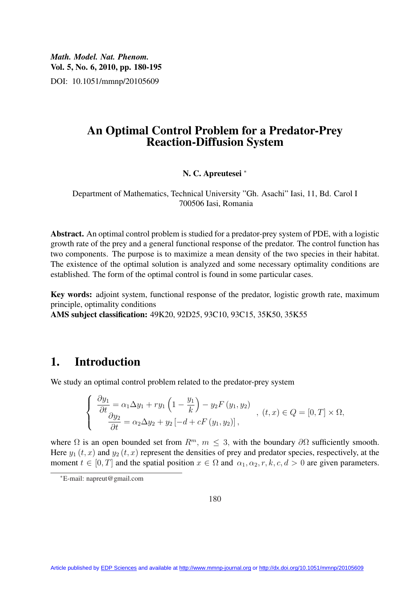*Math. Model. Nat. Phenom.* Vol. 5, No. 6, 2010, pp. 180-195 DOI: 10.1051/mmnp/20105609

### An Optimal Control Problem for a Predator-Prey Reaction-Diffusion System

#### N. C. Apreutesei <sup>∗</sup>

Department of Mathematics, Technical University "Gh. Asachi" Iasi, 11, Bd. Carol I 700506 Iasi, Romania

Abstract. An optimal control problem is studied for a predator-prey system of PDE, with a logistic growth rate of the prey and a general functional response of the predator. The control function has two components. The purpose is to maximize a mean density of the two species in their habitat. The existence of the optimal solution is analyzed and some necessary optimality conditions are established. The form of the optimal control is found in some particular cases.

Key words: adjoint system, functional response of the predator, logistic growth rate, maximum principle, optimality conditions

AMS subject classification: 49K20, 92D25, 93C10, 93C15, 35K50, 35K55

#### 1. Introduction

We study an optimal control problem related to the predator-prey system

$$
\begin{cases}\n\frac{\partial y_1}{\partial t} = \alpha_1 \Delta y_1 + r y_1 \left( 1 - \frac{y_1}{k} \right) - y_2 F(y_1, y_2) \\
\frac{\partial y_2}{\partial t} = \alpha_2 \Delta y_2 + y_2 \left[ -d + cF(y_1, y_2) \right],\n\end{cases}, \quad (t, x) \in Q = [0, T] \times \Omega,
$$

where  $\Omega$  is an open bounded set from  $R^m$ ,  $m \leq 3$ , with the boundary  $\partial \Omega$  sufficiently smooth. Here  $y_1(t, x)$  and  $y_2(t, x)$  represent the densities of prey and predator species, respectively, at the moment  $t \in [0, T]$  and the spatial position  $x \in \Omega$  and  $\alpha_1, \alpha_2, r, k, c, d > 0$  are given parameters.

<sup>∗</sup>E-mail: napreut@gmail.com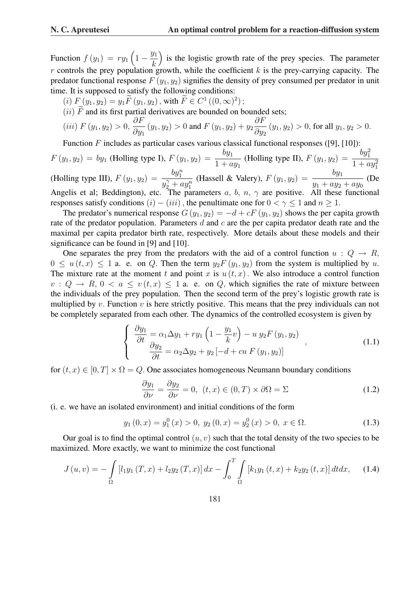Function  $f(y_1) = ry_1$  $\overline{a}$  $1-\frac{y_1}{1}$ k ´ is the logistic growth rate of the prey species. The parameter r controls the prey population growth, while the coefficient k is the prey-carrying capacity. The predator functional response  $F(y_1, y_2)$  signifies the density of prey consumed per predator in unit time. It is supposed to satisfy the following conditions:

- (*i*)  $F(y_1, y_2) = y_1 \widetilde{F}(y_1, y_2)$ , with  $\widetilde{F} \in C^1((0, \infty)^2)$ ;
- (ii)  $\tilde{F}$  and its first partial derivatives are bounded on bounded sets;

(*iii*) 
$$
F(y_1, y_2) > 0
$$
,  $\frac{\partial F}{\partial y_1}(y_1, y_2) > 0$  and  $F(y_1, y_2) + y_2 \frac{\partial F}{\partial y_2}(y_1, y_2) > 0$ , for all  $y_1, y_2 > 0$ .

Function F includes as particular cases various classical functional responses ([9], [10]):

$$
F(y_1, y_2) = by_1
$$
 (Holling type I),  $F(y_1, y_2) = \frac{by_1}{1 + ay_1}$  (Holling type II),  $F(y_1, y_2) = \frac{by_1^2}{1 + ay_1^2}$  (Holling type III),  $F(y_1, y_2) = \frac{by_1}{y_2^2 + ay_1^n}$  (Hassell & Valery),  $F(y_1, y_2) = \frac{by_1}{y_1 + ay_2 + ay_0}$  (De Angelis et al; Beddington), etc. The parameters  $a, b, n, \gamma$  are positive. All these functional responses satisfy conditions  $(i) - (iii)$ , the penultimate one for  $0 < \gamma \leq 1$  and  $n \geq 1$ .

The predator's numerical response  $G(y_1, y_2) = -d + cF(y_1, y_2)$  shows the per capita growth rate of the predator population. Parameters  $d$  and  $c$  are the per capita predator death rate and the maximal per capita predator birth rate, respectively. More details about these models and their significance can be found in [9] and [10].

One separates the prey from the predators with the aid of a control function  $u: Q \to R$ ,  $0 \leq u(t, x) \leq 1$  a. e. on Q. Then the term  $y_2 F(y_1, y_2)$  from the system is multiplied by u. The mixture rate at the moment t and point x is  $u(t, x)$ . We also introduce a control function  $v: Q \to R$ ,  $0 < a \le v(t, x) \le 1$  a. e. on Q, which signifies the rate of mixture between the individuals of the prey population. Then the second term of the prey's logistic growth rate is multiplied by v. Function v is here strictly positive. This means that the prey individuals can not be completely separated from each other. The dynamics of the controlled ecosystem is given by

$$
\begin{cases}\n\frac{\partial y_1}{\partial t} = \alpha_1 \Delta y_1 + r y_1 \left( 1 - \frac{y_1}{k} v \right) - u y_2 F(y_1, y_2) \\
\frac{\partial y_2}{\partial t} = \alpha_2 \Delta y_2 + y_2 \left[ -d + cu \, F(y_1, y_2) \right]\n\end{cases}
$$
\n(1.1)

for  $(t, x) \in [0, T] \times \Omega = Q$ . One associates homogeneous Neumann boundary conditions

$$
\frac{\partial y_1}{\partial \nu} = \frac{\partial y_2}{\partial \nu} = 0, \ (t, x) \in (0, T) \times \partial \Omega = \Sigma
$$
 (1.2)

(i. e. we have an isolated environment) and initial conditions of the form

$$
y_1(0, x) = y_1^0(x) > 0, y_2(0, x) = y_2^0(x) > 0, x \in \Omega.
$$
 (1.3)

Our goal is to find the optimal control  $(u, v)$  such that the total density of the two species to be maximized. More exactly, we want to minimize the cost functional

$$
J(u,v) = -\int_{\Omega} \left[ l_1 y_1(T,x) + l_2 y_2(T,x) \right] dx - \int_0^T \int_{\Omega} \left[ k_1 y_1(t,x) + k_2 y_2(t,x) \right] dt dx, \quad (1.4)
$$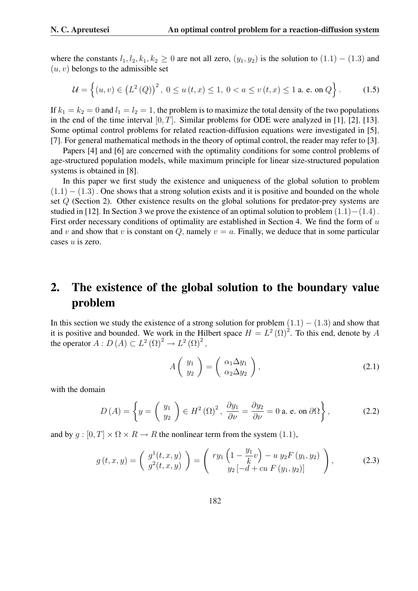where the constants  $l_1, l_2, k_1, k_2 \geq 0$  are not all zero,  $(y_1, y_2)$  is the solution to  $(1.1) - (1.3)$  and  $(u, v)$  belongs to the admissible set

$$
\mathcal{U} = \left\{ (u, v) \in (L^{2}(Q))^{2}, 0 \le u(t, x) \le 1, 0 < a \le v(t, x) \le 1 \text{ a. e. on } Q \right\}.
$$
 (1.5)

If  $k_1 = k_2 = 0$  and  $l_1 = l_2 = 1$ , the problem is to maximize the total density of the two populations in the end of the time interval  $[0, T]$ . Similar problems for ODE were analyzed in [1], [2], [13]. Some optimal control problems for related reaction-diffusion equations were investigated in [5], [7]. For general mathematical methods in the theory of optimal control, the reader may refer to [3].

Papers [4] and [6] are concerned with the optimality conditions for some control problems of age-structured population models, while maximum principle for linear size-structured population systems is obtained in [8].

In this paper we first study the existence and uniqueness of the global solution to problem  $(1.1) - (1.3)$ . One shows that a strong solution exists and it is positive and bounded on the whole set Q (Section 2). Other existence results on the global solutions for predator-prey systems are studied in [12]. In Section 3 we prove the existence of an optimal solution to problem  $(1.1) - (1.4)$ . First order necessary conditions of optimality are established in Section 4. We find the form of  $u$ and v and show that v is constant on  $Q$ , namely  $v = a$ . Finally, we deduce that in some particular cases u is zero.

# 2. The existence of the global solution to the boundary value problem

In this section we study the existence of a strong solution for problem  $(1.1) - (1.3)$  and show that it is positive and bounded. We work in the Hilbert space  $H = L^2(\Omega)^2$ . To this end, denote by A the operator  $A: D(A) \subset L^2(\Omega)^2 \to L^2(\Omega)^2$ ,

$$
A\left(\begin{array}{c}y_1\\y_2\end{array}\right)=\left(\begin{array}{c}\alpha_1\Delta y_1\\ \alpha_2\Delta y_2\end{array}\right),\tag{2.1}
$$

with the domain

$$
D(A) = \left\{ y = \begin{pmatrix} y_1 \\ y_2 \end{pmatrix} \in H^2(\Omega)^2, \ \frac{\partial y_1}{\partial \nu} = \frac{\partial y_2}{\partial \nu} = 0 \text{ a. e. on } \partial \Omega \right\},\tag{2.2}
$$

and by  $g : [0, T] \times \Omega \times R \rightarrow R$  the nonlinear term from the system (1.1),

$$
g(t,x,y) = \begin{pmatrix} g^1(t,x,y) \\ g^2(t,x,y) \end{pmatrix} = \begin{pmatrix} ry_1 \left(1 - \frac{y_1}{k}v\right) - u \, y_2 F\left(y_1, y_2\right) \\ y_2 \left[-d + cu \, F\left(y_1, y_2\right)\right] \end{pmatrix},\tag{2.3}
$$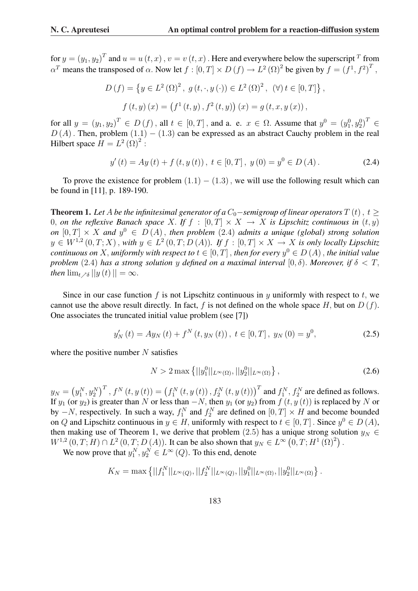for  $y = (y_1, y_2)^T$  and  $u = u(t, x)$  ,  $v = v(t, x)$  . Here and everywhere below the superscript  $^T$  from  $\alpha^T$  means the transposed of  $\alpha$ . Now let  $f : [0, T] \times D(f) \to L^2(\Omega)^2$  be given by  $f = (f^1, f^2)^T$ ,

$$
D(f) = \{ y \in L^{2}(\Omega)^{2}, g(t, \cdot, y(\cdot)) \in L^{2}(\Omega)^{2}, (\forall) t \in [0, T] \},\
$$

$$
f(t, y)(x) = (f^{1}(t, y), f^{2}(t, y))(x) = g(t, x, y(x)),
$$

for all  $y = (y_1, y_2)^T \in D(f)$ , all  $t \in [0, T]$ , and a. e.  $x \in \Omega$ . Assume that  $y^0 = (y_1^0, y_2^0)^T \in D(f)$  $D(A)$ . Then, problem  $(1.1) - (1.3)$  can be expressed as an abstract Cauchy problem in the real Hilbert space  $H = L^2 (\Omega)^2$ :

$$
y'(t) = Ay(t) + f(t, y(t)), \ t \in [0, T], \ y(0) = y^{0} \in D(A).
$$
 (2.4)

To prove the existence for problem  $(1.1) - (1.3)$ , we will use the following result which can be found in [11], p. 189-190.

**Theorem 1.** Let A be the infinitesimal generator of a  $C_0$ -semigroup of linear operators  $T(t)$ ,  $t >$ 0, *on the reflexive Banach space* X. If  $f : [0, T] \times X \to X$  *is Lipschitz continuous in*  $(t, y)$ *on*  $[0, T] \times X$  and  $y^0 \in D(A)$ , then problem (2.4) admits a unique (global) strong solution  $y \in W^{1,2}(0,T;X)$ , with  $y \in L^2(0,T;D(A))$ . If  $f : [0,T] \times X \to X$  is only locally Lipschitz *continuous on* X, *uniformly with respect to*  $t \in [0, T]$  , *then for every*  $y^0 \in D(A)$  , *the initial value problem* (2.4) *has a strong solution* y *defined on a maximal interval* [0,  $\delta$ ). *Moreover, if*  $\delta < T$ *, then*  $\lim_{t \to \delta} ||y(t)|| = \infty$ .

Since in our case function f is not Lipschitz continuous in y uniformly with respect to t, we cannot use the above result directly. In fact, f is not defined on the whole space H, but on  $D(f)$ . One associates the truncated initial value problem (see [7])

$$
y'_{N}(t) = Ay_{N}(t) + f^{N}(t, y_{N}(t)), \ t \in [0, T], \ y_{N}(0) = y^{0}, \tag{2.5}
$$

where the positive number  $N$  satisfies

$$
N > 2 \max\left\{||y_1^0||_{L^{\infty}(\Omega)}, ||y_2^0||_{L^{\infty}(\Omega)}\right\},
$$
\n(2.6)

 $y_N =$ ¡  $y_1^N, y_2^N$  $\int_0^T f(x, y(t)) = (f_1^N(t, y(t)), f_2^N(t, y(t)))^T$  and  $f_1^N, f_2^N$  are defined as follows. If  $y_1$  (or  $y_2$ ) is greater than N or less than  $-N$ , then  $y_1$  (or  $y_2$ ) from  $f(t, y(t))$  is replaced by N or by  $-N$ , respectively. In such a way,  $f_1^N$  and  $f_2^N$  are defined on  $[0, T] \times H$  and become bounded on Q and Lipschitz continuous in  $y \in H$ , uniformly with respect to  $t \in [0, T]$ . Since  $y^0 \in D(A)$ , then making use of Theorem 1, we derive that problem (2.5) has a unique strong solution  $y_N \in$  $W^{1,2}(0,T;H) \cap L^2(0,T;D(A))$ . It can be also shown that  $y_N \in L^{\infty}(0,T;H^1(\Omega)^2)$ .

We now prove that  $y_1^N, y_2^N \in L^\infty(Q)$ . To this end, denote

$$
K_N = \max \left\{ ||f_1^N||_{L^{\infty}(Q)}, ||f_2^N||_{L^{\infty}(Q)}, ||y_1^0||_{L^{\infty}(\Omega)}, ||y_2^0||_{L^{\infty}(\Omega)} \right\}.
$$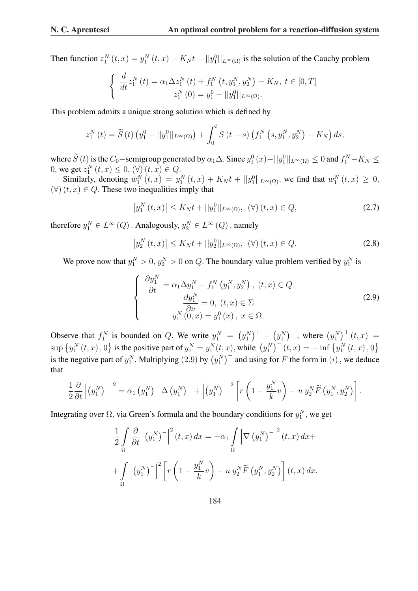Then function  $z_1^N(t,x) = y_1^N(t,x) - K_N t - ||y_1||_{L^{\infty}(\Omega)}$  is the solution of the Cauchy problem

$$
\begin{cases} \frac{d}{dt} z_1^N(t) = \alpha_1 \Delta z_1^N(t) + f_1^N(t, y_1^N, y_2^N) - K_N, \ t \in [0, T] \\ z_1^N(0) = y_1^0 - ||y_1^0||_{L^{\infty}(\Omega)}. \end{cases}
$$

This problem admits a unique strong solution which is defined by

$$
z_1^N(t) = \widetilde{S}(t) \left( y_1^0 - ||y_1^0||_{L^{\infty}(\Omega)} \right) + \int_0^t S(t-s) \left( f_1^N \left( s, y_1^N, y_2^N \right) - K_N \right) ds,
$$

where  $\widetilde{S}(t)$  is the  $C_0$ –semigroup generated by  $\alpha_1\Delta$ . Since  $y_1^0(x) - ||y_1^0||_{L^\infty(\Omega)} \leq 0$  and  $f_1^N - K_N \leq 0$ 0, we get  $z_1^N(t, x) \le 0$ ,  $(\forall)$   $(t, x) \in Q$ .

Similarly, denoting  $w_1^N(t, x) = y_1^N(t, x) + K_N t + ||y_1^0||_{L^{\infty}(\Omega)}$ , we find that  $w_1^N(t, x) \ge 0$ ,  $(\forall)$   $(t, x) \in Q$ . These two inequalities imply that

$$
\left| y_{1}^{N}(t,x) \right| \le K_{N}t + ||y_{1}^{0}||_{L^{\infty}(\Omega)}, \ \ (\forall) \ (t,x) \in Q, \tag{2.7}
$$

therefore  $y_1^N \in L^{\infty}(Q)$  . Analogously,  $y_2^N \in L^{\infty}(Q)$  , namely

$$
\left| y_2^N(t,x) \right| \le K_N t + ||y_2^0||_{L^\infty(\Omega)}, \ \ (\forall) \ (t,x) \in Q. \tag{2.8}
$$

We prove now that  $y_1^N > 0$ ,  $y_2^N > 0$  on Q. The boundary value problem verified by  $y_1^N$  is

$$
\begin{cases}\n\frac{\partial y_1^N}{\partial t} = \alpha_1 \Delta y_1^N + f_1^N \left( y_1^N, y_2^N \right), \ (t, x) \in Q \\
\frac{\partial y_1^N}{\partial \nu} = 0, \ (t, x) \in \Sigma \\
y_1^N \left( 0, x \right) = y_1^0 \left( x \right), \ x \in \Omega.\n\end{cases} \tag{2.9}
$$

Observe that  $f_1^N$  is bounded on Q. We write  $y_1^N =$ ¡  $y_1^N$  $+ -$ ¡  $y_1^N$  $\big)^{-}$ , where  $\big(y_1^N\big)$  $\int_{N_{\epsilon}}^{N_{\epsilon}} (t, x) =$ Soscret that  $f_1$ <br>sup  $\{y_1^N(t,x), 0\}$ ª is the positive part of  $y_1^N = y_1^N(t, x)$ , while  $(y_1^N)$  $(y_1)$ , where  $(y_1)$  (*t*, *x*).<br> $(y_1)$  (*t*, *x*) = - inf {y<sub>1</sub><sup>*N*</sup> (*t*, *x*), 0 sup  $\{y_1, (t, x), y_f\}$  is the positive part of  $y_1 = y_1(t)$ ,<br>is the negative part of  $y_1^N$ . Multiplying (2.9) by  $\left(y_1^N\right)$  $\binom{x}{y_1}$ , while  $\binom{y_1}{y_1}$   $\binom{y_2}{y_2}$  and using for F the form in  $(i)$ , we deduce that

$$
\frac{1}{2}\frac{\partial}{\partial t}\left|\left(y_1^N\right)^-\right|^2=\alpha_1\left(y_1^N\right)^-\Delta\left(y_1^N\right)^-+\left|\left(y_1^N\right)^-\right|^2\left[r\left(1-\frac{y_1^N}{k}v\right)-u\ y_2^N\widetilde{F}\left(y_1^N,y_2^N\right)\right].
$$

Integrating over  $\Omega$ , via Green's formula and the boundary conditions for  $y_1^N$ , we get

$$
\frac{1}{2} \int_{\Omega} \frac{\partial}{\partial t} \left| (y_1^N)^{-} \right|^2 (t, x) dx = -\alpha_1 \int_{\Omega} \left| \nabla (y_1^N)^{-} \right|^2 (t, x) dx +
$$

$$
+ \int_{\Omega} \left| (y_1^N)^{-} \right|^2 \left[ r \left( 1 - \frac{y_1^N}{k} v \right) - u y_2^N \widetilde{F} (y_1^N, y_2^N) \right] (t, x) dx.
$$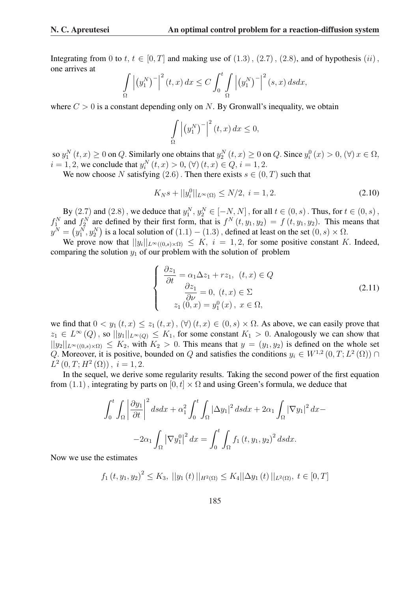Integrating from 0 to t,  $t \in [0, T]$  and making use of  $(1.3)$ ,  $(2.7)$ ,  $(2.8)$ , and of hypothesis  $(ii)$ , one arrives at  $\overline{a}$  $\overline{a}$  $\overline{r}$  $\overline{a}$  $\overline{a}$ 

$$
\int_{\Omega} \left| \left( y_1^N \right)^{-} \right|^2 (t, x) \, dx \le C \int_0^t \int_{\Omega} \left| \left( y_1^N \right)^{-} \right|^2 (s, x) \, ds dx,
$$

where  $C > 0$  is a constant depending only on N. By Gronwall's inequality, we obtain

$$
\int_{\Omega} \left| \left( y_1^N \right)^{-} \right|^2 (t, x) \, dx \le 0,
$$

so  $y_1^N(t, x) \ge 0$  on Q. Similarly one obtains that  $y_2^N(t, x) \ge 0$  on Q. Since  $y_i^0(x) > 0$ ,  $(\forall) x \in \Omega$ ,  $i = 1, 2$ , we conclude that  $y_i^N(t, x) > 0$ ,  $(\forall)$   $(t, x) \in Q$ ,  $i = 1, 2$ .

We now choose N satisfying (2.6). Then there exists  $s \in (0, T)$  such that

$$
K_N s + ||y_i^0||_{L^\infty(\Omega)} \le N/2, \ i = 1, 2. \tag{2.10}
$$

By  $(2.7)$  and  $(2.8)$ , we deduce that  $y_1^N, y_2^N \in [-N, N]$ , for all  $t \in (0, s)$ . Thus, for  $t \in (0, s)$ ,  $f_1^N$  and  $f_2^N$  are defined by their first form, that is  $f^N(t, y_1, y_2) = f(t, y_1, y_2)$ . This means that  $y^N =$ ¡  $y_1^N, y_2^N$ ¢ is a local solution of  $(1.1) - (1.3)$ , defined at least on the set  $(0, s) \times \Omega$ .

We prove now that  $||y_i||_{L^{\infty}((0,s)\times\Omega)} \leq K$ ,  $i = 1, 2$ , for some positive constant K. Indeed, comparing the solution  $y_1$  of our problem with the solution of problem

$$
\begin{cases}\n\frac{\partial z_1}{\partial t} = \alpha_1 \Delta z_1 + r z_1, \ (t, x) \in Q \\
\frac{\partial z_1}{\partial \nu} = 0, \ (t, x) \in \Sigma \\
z_1 (0, x) = y_1^0(x), \ x \in \Omega,\n\end{cases}
$$
\n(2.11)

we find that  $0 < y_1(t, x) \le z_1(t, x)$ ,  $(\forall)$   $(t, x) \in (0, s) \times \Omega$ . As above, we can easily prove that  $z_1 \in L^{\infty}(Q)$ , so  $||y_1||_{L^{\infty}(Q)} \leq K_1$ , for some constant  $K_1 > 0$ . Analogously we can show that  $||y_2||_{L^{\infty}((0,s)\times\Omega)} \leq K_2$ , with  $K_2 > 0$ . This means that  $y = (y_1, y_2)$  is defined on the whole set Q. Moreover, it is positive, bounded on Q and satisfies the conditions  $y_i \in W^{1,2}(0,T; L^2(\Omega))$  $L^2(0,T;H^2(\Omega))$ ,  $i=1,2$ .

In the sequel, we derive some regularity results. Taking the second power of the first equation from (1.1), integrating by parts on  $[0, t] \times \Omega$  and using Green's formula, we deduce that

$$
\int_0^t \int_{\Omega} \left| \frac{\partial y_1}{\partial t} \right|^2 ds dx + \alpha_1^2 \int_0^t \int_{\Omega} |\Delta y_1|^2 ds dx + 2\alpha_1 \int_{\Omega} |\nabla y_1|^2 dx -
$$

$$
-2\alpha_1 \int_{\Omega} |\nabla y_1|^2 dx = \int_0^t \int_{\Omega} f_1(t, y_1, y_2)^2 ds dx.
$$

Now we use the estimates

$$
f_1(t, y_1, y_2)^2 \le K_3, ||y_1(t)||_{H^2(\Omega)} \le K_4 ||\Delta y_1(t)||_{L^2(\Omega)}, t \in [0, T]
$$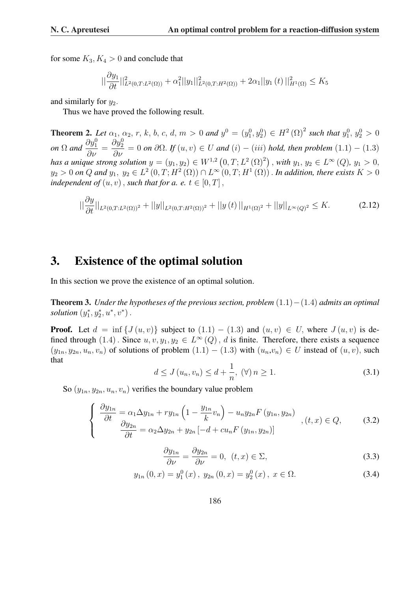for some  $K_3, K_4 > 0$  and conclude that

$$
||\frac{\partial y_1}{\partial t}||_{L^2(0,T:L^2(\Omega))}^2 + \alpha_1^2 ||y_1||_{L^2(0,T:H^2(\Omega))}^2 + 2\alpha_1 ||y_1(t)||_{H^1(\Omega)}^2 \le K_5
$$

and similarly for  $y_2$ .

Thus we have proved the following result.

**Theorem 2.** Let  $\alpha_1, \alpha_2, r, k, b, c, d, m > 0$  and  $y^0 = (y_1^0, y_2^0) \in H^2(\Omega)^2$  such that  $y_1^0, y_2^0 > 0$ *on*  $\Omega$  *and*  $\frac{\partial y_1^0}{\partial \nu} =$  $\frac{\partial y_2^0}{\partial \nu} = 0$  *on*  $\partial \Omega$ . *If*  $(u, v) \in U$  *and*  $(i) - (iii)$  *hold, then problem*  $(1.1) - (1.3)$ *has a unique strong solution*  $y = (y_1, y_2) \in W^{1,2}$ ¡  $(0, T; L^2(\Omega)^2)$  $, with y_1, y_2 \in L^{\infty}(Q), y_1 > 0,$  $y_2>0$  on  $Q$  and  $y_1, y_2\in L^2(0,T;H^2(\Omega))\cap L^\infty(0,T;H^1(\Omega))$  . In addition, there exists  $K>0$ *independent of*  $(u, v)$ , *such that for a. e.*  $t \in [0, T]$ ,

$$
||\frac{\partial y}{\partial t}||_{L^{2}(0,T;L^{2}(\Omega))^{2}} + ||y||_{L^{2}(0,T;H^{2}(\Omega))^{2}} + ||y(t)||_{H^{1}(\Omega)^{2}} + ||y||_{L^{\infty}(Q)^{2}} \leq K.
$$
 (2.12)

#### 3. Existence of the optimal solution

In this section we prove the existence of an optimal solution.

Theorem 3. *Under the hypotheses of the previous section, problem* (1.1)−(1.4) *admits an optimal solution*  $(y_1^*, y_2^*, u^*, v^*)$ .

**Proof.** Let  $d = \inf \{J(u, v)\}\)$  subject to  $(1.1) - (1.3)$  and  $(u, v) \in U$ , where  $J(u, v)$  is defined through  $(1.4)$ . Since  $u, v, y_1, y_2 \in L^{\infty}(Q)$ , d is finite. Therefore, there exists a sequence  $(y_{1n}, y_{2n}, u_n, v_n)$  of solutions of problem  $(1.1) - (1.3)$  with  $(u_n, v_n) \in U$  instead of  $(u, v)$ , such that

$$
d \le J(u_n, v_n) \le d + \frac{1}{n}, \ (\forall) \ n \ge 1. \tag{3.1}
$$

So  $(y_{1n}, y_{2n}, u_n, v_n)$  verifies the boundary value problem

$$
\begin{cases}\n\frac{\partial y_{1n}}{\partial t} = \alpha_1 \Delta y_{1n} + r y_{1n} \left( 1 - \frac{y_{1n}}{k} v_n \right) - u_n y_{2n} F \left( y_{1n}, y_{2n} \right) \\
\frac{\partial y_{2n}}{\partial t} = \alpha_2 \Delta y_{2n} + y_{2n} \left[ -d + c u_n F \left( y_{1n}, y_{2n} \right) \right]\n\end{cases}, \quad (t, x) \in Q,\tag{3.2}
$$

$$
\frac{\partial y_{1n}}{\partial \nu} = \frac{\partial y_{2n}}{\partial \nu} = 0, \ \ (t, x) \in \Sigma,
$$
\n(3.3)

$$
y_{1n}(0, x) = y_1^0(x), y_{2n}(0, x) = y_2^0(x), x \in \Omega.
$$
 (3.4)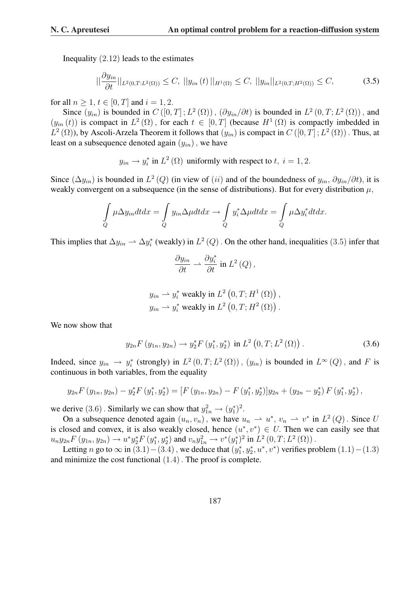Inequality (2.12) leads to the estimates

$$
||\frac{\partial y_{in}}{\partial t}||_{L^{2}(0,T;L^{2}(\Omega))} \leq C, \ ||y_{in}(t)||_{H^{1}(\Omega)} \leq C, \ ||y_{in}||_{L^{2}(0,T;H^{2}(\Omega))} \leq C,
$$
\n(3.5)

for all  $n > 1$ ,  $t \in [0, T]$  and  $i = 1, 2$ .

Since  $(y_{in})$  is bounded in  $C([0,T];L^2(\Omega))$ ,  $(\partial y_{in}/\partial t)$  is bounded in  $L^2(0,T;L^2(\Omega))$ , and  $(y_{in}(t))$  is compact in  $L^2(\Omega)$ , for each  $t \in [0,T]$  (because  $H^1(\Omega)$  is compactly imbedded in  $L^2(\Omega)$ , by Ascoli-Arzela Theorem it follows that  $(y_{in})$  is compact in  $C([0,T];L^2(\Omega))$ . Thus, at least on a subsequence denoted again  $(y_{in})$ , we have

 $y_{in} \rightarrow y_i^*$  in  $L^2(\Omega)$  uniformly with respect to  $t, i = 1, 2$ .

Since  $(\Delta y_{in})$  is bounded in  $L^2(Q)$  (in view of  $(ii)$  and of the boundedness of  $y_{in}, \partial y_{in}/\partial t$ ), it is weakly convergent on a subsequence (in the sense of distributions). But for every distribution  $\mu$ ,

$$
\int\limits_{Q} \mu \Delta y_{in} dt dx = \int\limits_{Q} y_{in} \Delta \mu dt dx \rightarrow \int\limits_{Q} y_{i}^{*} \Delta \mu dt dx = \int\limits_{Q} \mu \Delta y_{i}^{*} dt dx.
$$

This implies that  $\Delta y_{in} \to \Delta y_i^*$  (weakly) in  $L^2(Q)$  . On the other hand, inequalities (3.5) infer that

$$
\frac{\partial y_{in}}{\partial t}\rightharpoonup \frac{\partial y_{i}^{*}}{\partial t}\text{ in }L^{2}\left(Q\right),
$$

$$
y_{in} \rightarrow y_i^*
$$
 weakly in  $L^2(0, T; H^1(\Omega))$ ,  
\n $y_{in} \rightarrow y_i^*$  weakly in  $L^2(0, T; H^2(\Omega))$ .

We now show that

$$
y_{2n} F(y_{1n}, y_{2n}) \to y_2^* F(y_1^*, y_2^*) \text{ in } L^2(0, T; L^2(\Omega)).
$$
 (3.6)

Indeed, since  $y_{in} \to y_i^*$  (strongly) in  $L^2(0,T;L^2(\Omega))$ ,  $(y_{in})$  is bounded in  $L^{\infty}(Q)$ , and F is continuous in both variables, from the equality

$$
y_{2n}F(y_{1n}, y_{2n}) - y_2^*F(y_1^*, y_2^*) = [F(y_{1n}, y_{2n}) - F(y_1^*, y_2^*)]y_{2n} + (y_{2n} - y_2^*) F(y_1^*, y_2^*),
$$

we derive (3.6). Similarly we can show that  $y_{1n}^2 \rightarrow (y_1^*)^2$ .

On a subsequence denoted again  $(u_n, v_n)$ , we have  $u_n \rightharpoonup u^*$ ,  $v_n \rightharpoonup v^*$  in  $L^2(Q)$ . Since U is closed and convex, it is also weakly closed, hence  $(u^*, v^*) \in U$ . Then we can easily see that  $u_n y_{2n} F(y_{1n}, y_{2n}) \to u^* y_2^* F(y_1^*, y_2^*)$  and  $v_n y_{1n}^2 \to v^*(y_1^*)^2$  in  $L^2(0, T; L^2(\Omega))$ .

Letting *n* go to  $\infty$  in  $(3.1) - (3.4)$ , we deduce that  $(y_1^*, y_2^*, u^*, v^*)$  verifies problem  $(1.1) - (1.3)$ and minimize the cost functional (1.4). The proof is complete.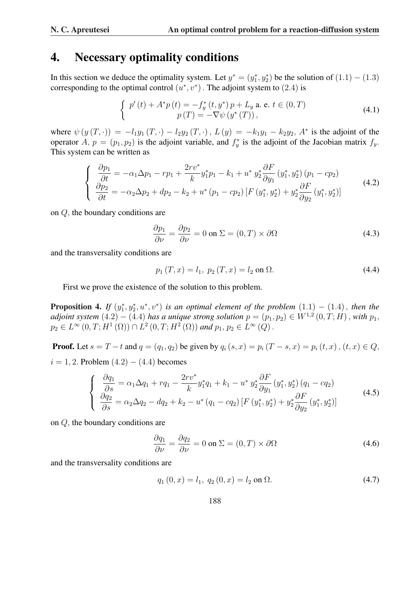#### 4. Necessary optimality conditions

In this section we deduce the optimality system. Let  $y^* = (y_1^*, y_2^*)$  be the solution of  $(1.1) - (1.3)$ corresponding to the optimal control  $(u^*, v^*)$ . The adjoint system to (2.4) is

$$
\begin{cases}\np'(t) + A^*p(t) = -f_y^*(t, y^*)p + L_y \text{ a. e. } t \in (0, T) \\
p(T) = -\nabla \psi(y^*(T)),\n\end{cases} \tag{4.1}
$$

where  $\psi(y(T, \cdot)) = -l_1 y_1(T, \cdot) - l_2 y_2(T, \cdot), L(y) = -k_1 y_1 - k_2 y_2, A^*$  is the adjoint of the operator A,  $p = (p_1, p_2)$  is the adjoint variable, and  $f_y^*$  is the adjoint of the Jacobian matrix  $f_y$ . This system can be written as

$$
\begin{cases}\n\frac{\partial p_1}{\partial t} = -\alpha_1 \Delta p_1 - r p_1 + \frac{2r v^*}{k} y_1^* p_1 - k_1 + u^* y_2^* \frac{\partial F}{\partial y_1} (y_1^*, y_2^*) (p_1 - c p_2) \\
\frac{\partial p_2}{\partial t} = -\alpha_2 \Delta p_2 + dp_2 - k_2 + u^* (p_1 - c p_2) \left[ F (y_1^*, y_2^*) + y_2^* \frac{\partial F}{\partial y_2} (y_1^*, y_2^*) \right]\n\end{cases} (4.2)
$$

on Q, the boundary conditions are

$$
\frac{\partial p_1}{\partial \nu} = \frac{\partial p_2}{\partial \nu} = 0 \text{ on } \Sigma = (0, T) \times \partial \Omega \tag{4.3}
$$

and the transversality conditions are

$$
p_1(T, x) = l_1, \ p_2(T, x) = l_2 \text{ on } \Omega. \tag{4.4}
$$

First we prove the existence of the solution to this problem.

**Proposition 4.** If  $(y_1^*, y_2^*, u^*, v^*)$  is an optimal element of the problem  $(1.1) - (1.4)$ , then the *adjoint system*  $(4.2) - (4.4)$  *has a unique strong solution*  $p = (p_1, p_2) \in W^{1,2}(0,T;H)$ , *with*  $p_1$ ,  $p_2 \in L^{\infty}(0,T;H^1(\Omega)) \cap L^2(0,T;H^2(\Omega))$  and  $p_1, p_2 \in L^{\infty}(Q)$ .

**Proof.** Let  $s = T - t$  and  $q = (q_1, q_2)$  be given by  $q_i (s, x) = p_i (T - s, x) = p_i (t, x)$ ,  $(t, x) \in Q$ ,  $i = 1, 2$ . Problem  $(4.2) - (4.4)$  becomes

$$
\begin{cases}\n\frac{\partial q_1}{\partial s} = \alpha_1 \Delta q_1 + r q_1 - \frac{2 r v^*}{k} y_1^* q_1 + k_1 - u^* y_2^* \frac{\partial F}{\partial y_1} (y_1^*, y_2^*) (q_1 - c q_2) \\
\frac{\partial q_2}{\partial s} = \alpha_2 \Delta q_2 - d q_2 + k_2 - u^* (q_1 - c q_2) \left[ F (y_1^*, y_2^*) + y_2^* \frac{\partial F}{\partial y_2} (y_1^*, y_2^*) \right]\n\end{cases} (4.5)
$$

on Q, the boundary conditions are

$$
\frac{\partial q_1}{\partial \nu} = \frac{\partial q_2}{\partial \nu} = 0 \text{ on } \Sigma = (0, T) \times \partial \Omega \tag{4.6}
$$

and the transversality conditions are

$$
q_1(0, x) = l_1, q_2(0, x) = l_2 \text{ on } \Omega.
$$
 (4.7)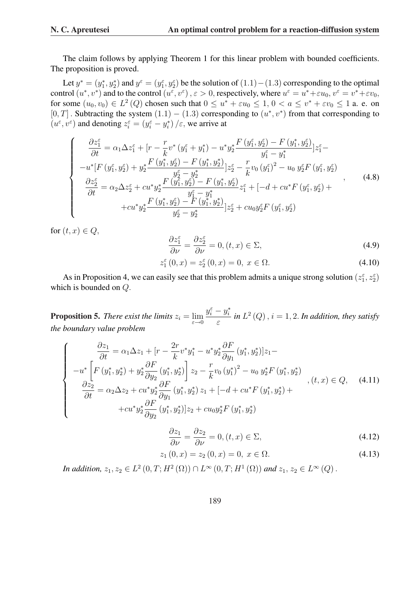The claim follows by applying Theorem 1 for this linear problem with bounded coefficients. The proposition is proved.

Let  $y^* = (y_1^*, y_2^*)$  and  $y^{\varepsilon} = (y_1^{\varepsilon}, y_2^{\varepsilon})$  be the solution of  $(1.1) - (1.3)$  corresponding to the optimal control  $(u^*, v^*)$  and to the control  $(u^{\varepsilon}, v^{\varepsilon})$ ,  $\varepsilon > 0$ , respectively, where  $u^{\varepsilon} = u^* + \varepsilon u_0$ ,  $v^{\varepsilon} = v^* + \varepsilon v_0$ , for some  $(u_0, v_0) \in L^2(Q)$  chosen such that  $0 \le u^* + \varepsilon u_0 \le 1$ ,  $0 < a \le v^* + \varepsilon v_0 \le 1$  a. e. on [0, T]. Subtracting the system  $(1.1) - (1.3)$  corresponding to  $(u^*, v^*)$  from that corresponding to  $(u^{\varepsilon}, v^{\varepsilon})$  and denoting  $z_i^{\varepsilon} = (y_i^{\varepsilon} - y_i^*) / \varepsilon$ , we arrive at

$$
\begin{cases}\n\frac{\partial z_{1}^{\varepsilon}}{\partial t} = \alpha_{1} \Delta z_{1}^{\varepsilon} + \left[r - \frac{r}{k} v^{*} \left(y_{1}^{\varepsilon} + y_{1}^{*}\right) - u^{*} y_{2}^{*} \frac{F\left(y_{1}^{\varepsilon}, y_{2}^{\varepsilon}\right) - F\left(y_{1}^{*}, y_{2}^{\varepsilon}\right)}{y_{1}^{\varepsilon} - y_{1}^{*}}\right] z_{1}^{\varepsilon} - \\
-u^{*}\left[F\left(y_{1}^{\varepsilon}, y_{2}^{\varepsilon}\right) + y_{2}^{*} \frac{F\left(y_{1}^{*}, y_{2}^{\varepsilon}\right) - F\left(y_{1}^{*}, y_{2}^{*}\right)}{y_{2}^{\varepsilon} - y_{2}^{*}}\right] z_{2}^{\varepsilon} - \frac{r}{k} v_{0} \left(y_{1}^{\varepsilon}\right)^{2} - u_{0} y_{2}^{\varepsilon} F\left(y_{1}^{\varepsilon}, y_{2}^{\varepsilon}\right) \\
\frac{\partial z_{2}^{\varepsilon}}{\partial t} = \alpha_{2} \Delta z_{2}^{\varepsilon} + c u^{*} y_{2}^{*} \frac{F\left(y_{1}^{\varepsilon}, y_{2}^{\varepsilon}\right) - F\left(y_{1}^{*}, y_{2}^{\varepsilon}\right)}{y_{1}^{\varepsilon} - y_{1}^{*}} z_{1}^{\varepsilon} + \left[-d + c u^{*} F\left(y_{1}^{\varepsilon}, y_{2}^{\varepsilon}\right) + c u^{*} y_{2}^{*} \frac{F\left(y_{1}^{*}, y_{2}^{\varepsilon}\right) - F\left(y_{1}^{*}, y_{2}^{*}\right)}{y_{2}^{\varepsilon} - y_{2}^{*}}\right] z_{2}^{\varepsilon} + c u_{0} y_{2}^{\varepsilon} F\left(y_{1}^{\varepsilon}, y_{2}^{\varepsilon}\right)\n\end{cases}, \tag{4.8}
$$

for  $(t, x) \in Q$ ,

$$
\frac{\partial z_1^{\varepsilon}}{\partial \nu} = \frac{\partial z_2^{\varepsilon}}{\partial \nu} = 0, (t, x) \in \Sigma,
$$
\n(4.9)

$$
z_1^{\varepsilon}(0, x) = z_2^{\varepsilon}(0, x) = 0, \ x \in \Omega.
$$
 (4.10)

As in Proposition 4, we can easily see that this problem admits a unique strong solution  $(z_1^{\varepsilon}, z_2^{\varepsilon})$ which is bounded on Q.

**Proposition 5.** *There exist the limits*  $z_i = \lim_{\varepsilon \to 0}$  $y_i^{\varepsilon} - y_i^*$ ε in  $L^2(Q)$ ,  $i = 1, 2$ . In addition, they satisfy *the boundary value problem*

$$
\begin{cases}\n\frac{\partial z_1}{\partial t} = \alpha_1 \Delta z_1 + [r - \frac{2r}{k} v^* y_1^* - u^* y_2^* \frac{\partial F}{\partial y_1} (y_1^*, y_2^*)] z_1 - \\
-i u^* \left[ F (y_1^*, y_2^*) + y_2^* \frac{\partial F}{\partial y_2} (y_1^*, y_2^*) \right] z_2 - \frac{r}{k} v_0 (y_1^*)^2 - u_0 y_2^* F (y_1^*, y_2^*) \\
\frac{\partial z_2}{\partial t} = \alpha_2 \Delta z_2 + c u^* y_2^* \frac{\partial F}{\partial y_1} (y_1^*, y_2^*) z_1 + [-d + c u^* F (y_1^*, y_2^*) + \\
+i c u^* y_2^* \frac{\partial F}{\partial y_2} (y_1^*, y_2^*)] z_2 + c u_0 y_2^* F (y_1^*, y_2^*)\n\end{cases}, (t, x) \in Q,
$$
\n(4.11)

$$
\frac{\partial z_1}{\partial \nu} = \frac{\partial z_2}{\partial \nu} = 0, (t, x) \in \Sigma,
$$
\n(4.12)

$$
z_1(0, x) = z_2(0, x) = 0, \ x \in \Omega.
$$
\n(4.13)

*In addition,*  $z_1, z_2 \in L^2(0, T; H^2(\Omega)) \cap L^{\infty}(0, T; H^1(\Omega))$  and  $z_1, z_2 \in L^{\infty}(Q)$ .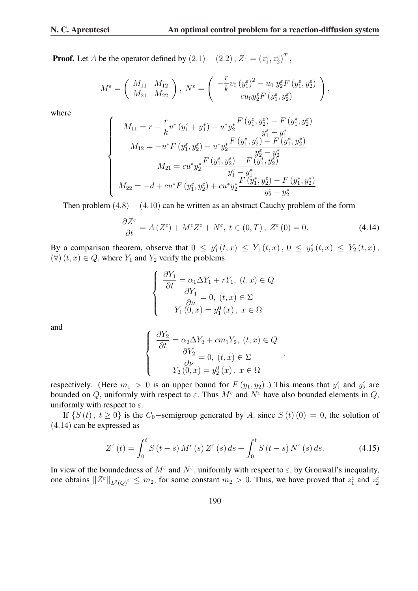**Proof.** Let A be the operator defined by  $(2.1) - (2.2)$ ,  $Z^{\varepsilon} = (z_1^{\varepsilon}, z_2^{\varepsilon})^T$ ,

$$
M^{\varepsilon} = \begin{pmatrix} M_{11} & M_{12} \\ M_{21} & M_{22} \end{pmatrix}, N^{\varepsilon} = \begin{pmatrix} -\frac{r}{k}v_0 (y_1^{\varepsilon})^2 - u_0 y_2^{\varepsilon} F (y_1^{\varepsilon}, y_2^{\varepsilon}) \\ cu_0 y_2^{\varepsilon} F (y_1^{\varepsilon}, y_2^{\varepsilon}) \end{pmatrix},
$$

where

$$
\begin{cases}\nM_{11} = r - \frac{r}{k} v^* (y_1^{\varepsilon} + y_1^*) - u^* y_2^* \frac{F (y_1^{\varepsilon}, y_2^{\varepsilon}) - F (y_1^*, y_2^{\varepsilon})}{y_1^{\varepsilon} - y_1^*} \\
M_{12} = -u^* F (y_1^{\varepsilon}, y_2^{\varepsilon}) - u^* y_2^* \frac{F (y_1^*, y_2^{\varepsilon}) - F (y_1^*, y_2^*)}{y_2^{\varepsilon} - y_2^*} \\
M_{21} = c u^* y_2^* \frac{F (y_1^{\varepsilon}, y_2^{\varepsilon}) - F (y_1^*, y_2^{\varepsilon})}{y_1^{\varepsilon} - y_1^*} \\
M_{22} = -d + c u^* F (y_1^{\varepsilon}, y_2^{\varepsilon}) + c u^* y_2^* \frac{F (y_1^*, y_2^{\varepsilon}) - F (y_1^*, y_2^*)}{y_2^{\varepsilon} - y_2^*}.\n\end{cases}
$$

Then problem  $(4.8) - (4.10)$  can be written as an abstract Cauchy problem of the form

$$
\frac{\partial Z^{\varepsilon}}{\partial t} = A\left(Z^{\varepsilon}\right) + M^{\varepsilon} Z^{\varepsilon} + N^{\varepsilon}, \ t \in (0, T), \ Z^{\varepsilon}\left(0\right) = 0. \tag{4.14}
$$

By a comparison theorem, observe that  $0 \le y_1^{\varepsilon}(t,x) \le Y_1(t,x)$ ,  $0 \le y_2^{\varepsilon}(t,x) \le Y_2(t,x)$ ,  $(\forall)$   $(t, x) \in Q$ , where  $Y_1$  and  $Y_2$  verify the problems

$$
\begin{cases}\n\frac{\partial Y_1}{\partial t} = \alpha_1 \Delta Y_1 + rY_1, \ (t, x) \in Q \\
\frac{\partial Y_1}{\partial \nu} = 0, \ (t, x) \in \Sigma \\
Y_1(0, x) = y_1^0(x), \ x \in \Omega\n\end{cases}
$$

and

$$
\begin{cases}\n\frac{\partial Y_2}{\partial t} = \alpha_2 \Delta Y_2 + c m_1 Y_2, \ (t, x) \in Q \\
\frac{\partial Y_2}{\partial \nu} = 0, \ (t, x) \in \Sigma \\
Y_2(0, x) = y_2^0(x), \ x \in \Omega\n\end{cases}
$$

respectively. (Here  $m_1 > 0$  is an upper bound for  $F(y_1, y_2)$ .) This means that  $y_1^{\varepsilon}$  and  $y_2^{\varepsilon}$  are bounded on Q, uniformly with respect to  $\varepsilon$ . Thus  $M^{\varepsilon}$  and  $N^{\varepsilon}$  have also bounded elements in Q, uniformly with respect to  $\varepsilon$ .

If  $\{S(t), t \ge 0\}$  is the C<sub>0</sub>-semigroup generated by A, since  $S(t)(0) = 0$ , the solution of (4.14) can be expressed as

$$
Z^{\varepsilon}(t) = \int_0^t S(t-s) M^{\varepsilon}(s) Z^{\varepsilon}(s) ds + \int_0^t S(t-s) N^{\varepsilon}(s) ds.
$$
 (4.15)

In view of the boundedness of  $M^{\varepsilon}$  and  $N^{\varepsilon}$ , uniformly with respect to  $\varepsilon$ , by Gronwall's inequality, one obtains  $||Z^{\varepsilon}||_{L^2(Q)^2} \leq m_2$ , for some constant  $m_2 > 0$ . Thus, we have proved that  $z_1^{\varepsilon}$  and  $z_2^{\varepsilon}$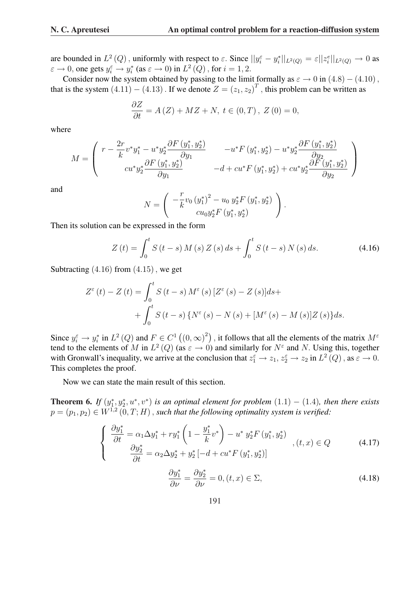.

are bounded in  $L^2(Q)$ , uniformly with respect to  $\varepsilon$ . Since  $||y_i^{\varepsilon} - y_i^*||_{L^2(Q)} = \varepsilon ||z_i^e||_{L^2(Q)} \to 0$  as  $\varepsilon \to 0$ , one gets  $y_i^{\varepsilon} \to y_i^*$  (as  $\varepsilon \to 0$ ) in  $L^2(Q)$  , for  $i = 1, 2$ .

Consider now the system obtained by passing to the limit formally as  $\varepsilon \to 0$  in (4.8) – (4.10), that is the system  $(4.11) - (4.13)$ . If we denote  $Z = (z_1, z_2)^T$ , this problem can be written as

$$
\frac{\partial Z}{\partial t} = A(Z) + MZ + N, t \in (0, T), Z(0) = 0,
$$

where

$$
M = \begin{pmatrix} r - \frac{2r}{k} v^* y_1^* - u^* y_2^* \frac{\partial F\left(y_1^*, y_2^*\right)}{\partial y_1} & -u^* F\left(y_1^*, y_2^*\right) - u^* y_2^* \frac{\partial F\left(y_1^*, y_2^*\right)}{\partial y_2} \\ c u^* y_2^* \frac{\partial F\left(y_1^*, y_2^*\right)}{\partial y_1} & -d + c u^* F\left(y_1^*, y_2^*\right) + c u^* y_2^* \frac{\partial F\left(y_1^*, y_2^*\right)}{\partial y_2} \end{pmatrix}
$$

and

$$
N = \left( \begin{array}{c} -\frac{r}{k} v_0 \left( y_1^* \right)^2 - u_0 \ y_2^* F \left( y_1^*, y_2^* \right) \\ c u_0 y_2^* F \left( y_1^*, y_2^* \right) \end{array} \right)
$$

Then its solution can be expressed in the form

$$
Z(t) = \int_0^t S(t - s) M(s) Z(s) ds + \int_0^t S(t - s) N(s) ds.
$$
 (4.16)

Subtracting  $(4.16)$  from  $(4.15)$ , we get

$$
Z^{\varepsilon}(t) - Z(t) = \int_{0}^{t} S(t - s) M^{\varepsilon}(s) [Z^{\varepsilon}(s) - Z(s)] ds + + \int_{0}^{t} S(t - s) \{ N^{\varepsilon}(s) - N(s) + [M^{\varepsilon}(s) - M(s)] Z(s) \} ds.
$$

Since  $y_i^{\varepsilon} \to y_i^*$  in  $L^2(Q)$  and  $F \in C^1$  (  $(0,\infty)^2$ , it follows that all the elements of the matrix  $M^{\epsilon}$ tend to the elements of M in  $L^2(Q)$  (as  $\varepsilon \to 0$ ) and similarly for  $N^{\varepsilon}$  and N. Using this, together with Gronwall's inequality, we arrive at the conclusion that  $z_1^{\varepsilon} \to z_1, z_2^{\varepsilon} \to z_2$  in  $L^2(Q)$ , as  $\varepsilon \to 0$ . This completes the proof.

Now we can state the main result of this section.

**Theorem 6.** If  $(y_1^*, y_2^*, u^*, v^*)$  is an optimal element for problem  $(1.1) - (1.4)$ , then there exists  $p = (p_1, p_2) \in W^{1,2}(0,T;H)$  , such that the following optimality system is verified:

$$
\begin{cases}\n\frac{\partial y_1^*}{\partial t} = \alpha_1 \Delta y_1^* + r y_1^* \left( 1 - \frac{y_1^*}{k} v^* \right) - u^* y_2^* F \left( y_1^*, y_2^* \right) \\
\frac{\partial y_2^*}{\partial t} = \alpha_2 \Delta y_2^* + y_2^* \left[ -d + c u^* F \left( y_1^*, y_2^* \right) \right] \\
\frac{\partial y_1^*}{\partial \nu} = \frac{\partial y_2^*}{\partial \nu} = 0, (t, x) \in \Sigma,\n\end{cases} \tag{4.18}
$$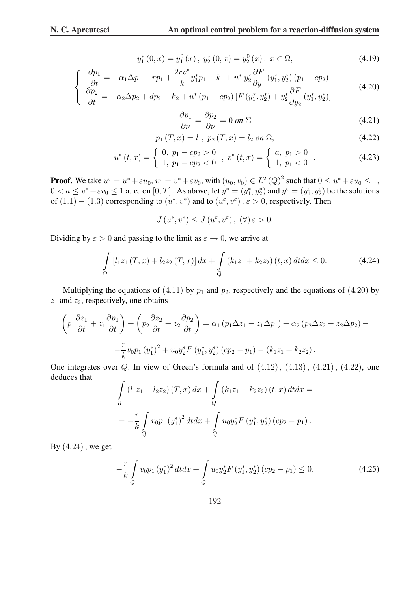$$
y_1^*(0, x) = y_1^0(x), \ y_2^*(0, x) = y_2^0(x), \ x \in \Omega,
$$
\n(4.19)

$$
\begin{cases}\n\frac{\partial p_1}{\partial t} = -\alpha_1 \Delta p_1 - r p_1 + \frac{2r v^*}{k} y_1^* p_1 - k_1 + u^* y_2^* \frac{\partial F}{\partial y_1} (y_1^*, y_2^*) (p_1 - c p_2) \\
\frac{\partial p_2}{\partial t} = -\alpha_2 \Delta p_2 + dp_2 - k_2 + u^* (p_1 - c p_2) \left[ F (y_1^*, y_2^*) + y_2^* \frac{\partial F}{\partial y_2} (y_1^*, y_2^*) \right]\n\end{cases} (4.20)
$$

$$
\frac{\partial p_1}{\partial \nu} = \frac{\partial p_2}{\partial \nu} = 0 \text{ on } \Sigma \tag{4.21}
$$

$$
p_1(T, x) = l_1, \ p_2(T, x) = l_2 \text{ on } \Omega,
$$
\n(4.22)

$$
u^*(t,x) = \begin{cases} 0, & p_1 - cp_2 > 0 \\ 1, & p_1 - cp_2 < 0 \end{cases}, v^*(t,x) = \begin{cases} a, & p_1 > 0 \\ 1, & p_1 < 0 \end{cases}.
$$
 (4.23)

**Proof.** We take  $u^{\varepsilon} = u^* + \varepsilon u_0$ ,  $v^{\varepsilon} = v^* + \varepsilon v_0$ , with  $(u_0, v_0) \in L^2(Q)^2$  such that  $0 \le u^* + \varepsilon u_0 \le 1$ ,  $0 < a \le v^* + \varepsilon v_0 \le 1$  a. e. on  $[0, T]$ . As above, let  $y^* = (y_1^*, y_2^*)$  and  $y^{\varepsilon} = (y_1^{\varepsilon}, y_2^{\varepsilon})$  be the solutions of  $(1.1) - (1.3)$  corresponding to  $(u^*, v^*)$  and to  $(u^{\varepsilon}, v^{\varepsilon})$ ,  $\varepsilon > 0$ , respectively. Then

 $J(u^*, v^*) \leq J(u^{\varepsilon}, v^{\varepsilon}), (\forall) \varepsilon > 0.$ 

Dividing by  $\varepsilon > 0$  and passing to the limit as  $\varepsilon \to 0$ , we arrive at

$$
\int_{\Omega} \left[ l_1 z_1 \left( T, x \right) + l_2 z_2 \left( T, x \right) \right] dx + \int_{Q} \left( k_1 z_1 + k_2 z_2 \right) (t, x) dt dx \le 0.
$$
 (4.24)

Multiplying the equations of (4.11) by  $p_1$  and  $p_2$ , respectively and the equations of (4.20) by  $z_1$  and  $z_2$ , respectively, one obtains

$$
\left(p_1\frac{\partial z_1}{\partial t} + z_1\frac{\partial p_1}{\partial t}\right) + \left(p_2\frac{\partial z_2}{\partial t} + z_2\frac{\partial p_2}{\partial t}\right) = \alpha_1\left(p_1\Delta z_1 - z_1\Delta p_1\right) + \alpha_2\left(p_2\Delta z_2 - z_2\Delta p_2\right) - \frac{r}{k}v_0p_1\left(y_1^*\right)^2 + u_0y_2^*F\left(y_1^*, y_2^*\right)(cp_2 - p_1) - (k_1z_1 + k_2z_2).
$$

One integrates over  $Q$ . In view of Green's formula and of  $(4.12)$ ,  $(4.13)$ ,  $(4.21)$ ,  $(4.22)$ , one deduces that

$$
\int_{\Omega} (l_1 z_1 + l_2 z_2) (T, x) dx + \int_{Q} (k_1 z_1 + k_2 z_2) (t, x) dt dx =
$$
\n
$$
= -\frac{r}{k} \int_{Q} v_0 p_1 (y_1^*)^2 dt dx + \int_{Q} u_0 y_2^* F (y_1^*, y_2^*) (cp_2 - p_1).
$$

By  $(4.24)$ , we get

$$
-\frac{r}{k} \int_{Q} v_0 p_1 (y_1^*)^2 dt dx + \int_{Q} u_0 y_2^* F(y_1^*, y_2^*) (cp_2 - p_1) \le 0.
$$
 (4.25)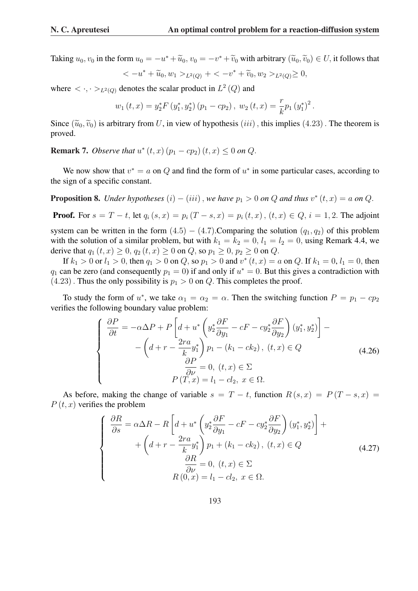Taking  $u_0, v_0$  in the form  $u_0 = -u^* + \widetilde{u}_0$ ,  $v_0 = -v^* + \widetilde{v}_0$  with arbitrary  $(\widetilde{u}_0, \widetilde{v}_0) \in U$ , it follows that

$$
\langle -u^* + \widetilde{u}_0, w_1 \rangle_{L^2(Q)} + \langle -v^* + \widetilde{v}_0, w_2 \rangle_{L^2(Q)} \ge 0,
$$

where  $\langle \cdot, \cdot \rangle_{L^2(Q)}$  denotes the scalar product in  $L^2(Q)$  and

$$
w_1(t,x) = y_2^* F(y_1^*, y_2^*) (p_1 - cp_2), w_2(t,x) = \frac{r}{k} p_1 (y_1^*)^2.
$$

Since  $(\tilde{u}_0, \tilde{v}_0)$  is arbitrary from U, in view of hypothesis (*iii*), this implies (4.23). The theorem is proved.

**Remark 7.** *Observe that*  $u^*(t, x)$   $(p_1 - cp_2)$   $(t, x) \leq 0$  on Q.

We now show that  $v^* = a$  on Q and find the form of  $u^*$  in some particular cases, according to the sign of a specific constant.

**Proposition 8.** *Under hypotheses*  $(i) - (iii)$ , *we have*  $p_1 > 0$  *on*  $Q$  *and thus*  $v^*(t, x) = a$  *on*  $Q$ *.* 

**Proof.** For  $s = T - t$ , let  $q_i(s, x) = p_i(T - s, x) = p_i(t, x)$ ,  $(t, x) \in Q$ ,  $i = 1, 2$ . The adjoint system can be written in the form  $(4.5) - (4.7)$ . Comparing the solution  $(q_1, q_2)$  of this problem with the solution of a similar problem, but with  $k_1 = k_2 = 0$ ,  $l_1 = l_2 = 0$ , using Remark 4.4, we derive that  $q_1 (t, x) \ge 0$ ,  $q_2 (t, x) \ge 0$  on Q, so  $p_1 \ge 0$ ,  $p_2 \ge 0$  on Q.

If  $k_1 > 0$  or  $l_1 > 0$ , then  $q_1 > 0$  on  $Q$ , so  $p_1 > 0$  and  $v^*(t, x) = a$  on  $Q$ . If  $k_1 = 0$ ,  $l_1 = 0$ , then  $q_1$  can be zero (and consequently  $p_1 = 0$ ) if and only if  $u^* = 0$ . But this gives a contradiction with  $(4.23)$ . Thus the only possibility is  $p_1 > 0$  on Q. This completes the proof.

To study the form of  $u^*$ , we take  $\alpha_1 = \alpha_2 = \alpha$ . Then the switching function  $P = p_1 - cp_2$ verifies the following boundary value problem:

$$
\begin{cases}\n\frac{\partial P}{\partial t} = -\alpha \Delta P + P \left[ d + u^* \left( y_2^* \frac{\partial F}{\partial y_1} - cF - cy_2^* \frac{\partial F}{\partial y_2} \right) (y_1^*, y_2^*) \right] - \\
-\left( d + r - \frac{2ra}{k} y_1^* \right) p_1 - (k_1 - ck_2), (t, x) \in Q \\
\frac{\partial P}{\partial \nu} = 0, (t, x) \in \Sigma \\
P(T, x) = l_1 - cl_2, x \in \Omega.\n\end{cases}
$$
\n(4.26)

As before, making the change of variable  $s = T - t$ , function  $R(s, x) = P(T - s, x) =$  $P(t, x)$  verifies the problem

$$
\begin{cases}\n\frac{\partial R}{\partial s} = \alpha \Delta R - R \left[ d + u^* \left( y_2^* \frac{\partial F}{\partial y_1} - cF - cy_2^* \frac{\partial F}{\partial y_2} \right) (y_1^*, y_2^*) \right] + \\
+ \left( d + r - \frac{2ra}{k} y_1^* \right) p_1 + (k_1 - ck_2), (t, x) \in Q \\
\frac{\partial R}{\partial \nu} = 0, (t, x) \in \Sigma \\
R(0, x) = l_1 - cl_2, x \in \Omega.\n\end{cases}
$$
\n(4.27)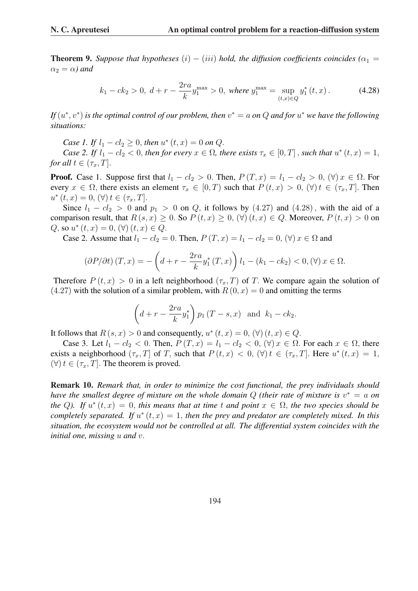**Theorem 9.** *Suppose that hypotheses*  $(i) - (iii)$  *hold, the diffusion coefficients coincides*  $(\alpha_1 =$  $\alpha_2 = \alpha$ *)* and

$$
k_1 - ck_2 > 0, \ d + r - \frac{2ra}{k} y_1^{\max} > 0, \ where \ y_1^{\max} = \sup_{(t,x)\in Q} y_1^*(t,x). \tag{4.28}
$$

*If*  $(u^*, v^*)$  *is the optimal control of our problem, then*  $v^* = a$  *on*  $Q$  *and for*  $u^*$  *we have the following situations:*

*Case 1. If*  $l_1 - cl_2 \ge 0$ , *then*  $u^*(t, x) = 0$  *on*  $Q$ *.* 

*Case 2. If*  $l_1 - cl_2 < 0$ , *then for every*  $x \in \Omega$ , *there exists*  $\tau_x \in [0, T]$ , *such that*  $u^*(t, x) = 1$ , *for all*  $t \in (\tau_x, T]$ .

**Proof.** Case 1. Suppose first that  $l_1 - cl_2 > 0$ . Then,  $P(T, x) = l_1 - cl_2 > 0$ ,  $(\forall) x \in \Omega$ . For every  $x \in \Omega$ , there exists an element  $\tau_x \in [0, T)$  such that  $P(t, x) > 0$ ,  $(\forall) t \in (\tau_x, T]$ . Then  $u^*(t, x) = 0, (\forall t \in (\tau_x, T].$ 

Since  $l_1 - c l_2 > 0$  and  $p_1 > 0$  on Q, it follows by (4.27) and (4.28), with the aid of a comparison result, that  $R(s, x) \geq 0$ . So  $P(t, x) \geq 0$ ,  $(\forall)$   $(t, x) \in Q$ . Moreover,  $P(t, x) > 0$  on Q, so  $u^*(t, x) = 0$ ,  $(\forall) (t, x) \in Q$ .

Case 2. Assume that  $l_1 - cl_2 = 0$ . Then,  $P(T, x) = l_1 - cl_2 = 0$ ,  $(\forall) x \in \Omega$  and

$$
\left(\frac{\partial P}{\partial t}\right)(T, x) = -\left(d + r - \frac{2ra}{k}y_1^*(T, x)\right)l_1 - (k_1 - ck_2) < 0, \forall x \in \Omega.
$$

Therefore  $P(t, x) > 0$  in a left neighborhood  $(\tau_x, T)$  of T. We compare again the solution of  $(4.27)$  with the solution of a similar problem, with  $R(0, x) = 0$  and omitting the terms

$$
\left(d+r-\frac{2ra}{k}y_1^*\right)p_1(T-s,x)
$$
 and  $k_1-ck_2$ .

It follows that  $R(s, x) > 0$  and consequently,  $u^*(t, x) = 0$ ,  $(\forall)$   $(t, x) \in Q$ .

Case 3. Let  $l_1 - cl_2 < 0$ . Then,  $P(T, x) = l_1 - cl_2 < 0$ ,  $(\forall) x \in \Omega$ . For each  $x \in \Omega$ , there exists a neighborhood  $(\tau_x, T]$  of T, such that  $P(t, x) < 0$ ,  $(\forall) t \in (\tau_x, T]$ . Here  $u^*(t, x) = 1$ ,  $(\forall) t \in (\tau_x, T]$ . The theorem is proved.

Remark 10. *Remark that, in order to minimize the cost functional, the prey individuals should have the smallest degree of mixture on the whole domain* Q *(their rate of mixture is* v <sup>∗</sup> = a *on the* Q). If  $u^*(t, x) = 0$ , *this means that at time* t *and point*  $x \in \Omega$ , *the two species should be completely separated.* If  $u^*(t, x) = 1$ , then the prey and predator are completely mixed. In this *situation, the ecosystem would not be controlled at all. The differential system coincides with the initial one, missing* u *and* v.